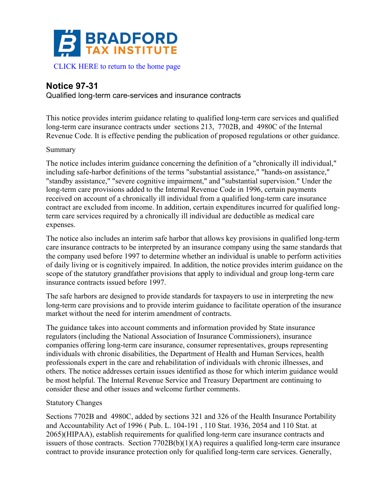

# **Notice 97-31**

Qualified long-term care-services and insurance contracts

This notice provides interim guidance relating to qualified long-term care services and qualified long-term care insurance contracts under sections 213, 7702B, and 4980C of the Internal Revenue Code. It is effective pending the publication of proposed regulations or other guidance.

#### Summary

The notice includes interim guidance concerning the definition of a "chronically ill individual," including safe-harbor definitions of the terms "substantial assistance," "hands-on assistance," "standby assistance," "severe cognitive impairment," and "substantial supervision." Under the long-term care provisions added to the Internal Revenue Code in 1996, certain payments received on account of a chronically ill individual from a qualified long-term care insurance contract are excluded from income. In addition, certain expenditures incurred for qualified longterm care services required by a chronically ill individual are deductible as medical care expenses.

The notice also includes an interim safe harbor that allows key provisions in qualified long-term care insurance contracts to be interpreted by an insurance company using the same standards that the company used before 1997 to determine whether an individual is unable to perform activities of daily living or is cognitively impaired. In addition, the notice provides interim guidance on the scope of the statutory grandfather provisions that apply to individual and group long-term care insurance contracts issued before 1997.

The safe harbors are designed to provide standards for taxpayers to use in interpreting the new long-term care provisions and to provide interim guidance to facilitate operation of the insurance market without the need for interim amendment of contracts.

The guidance takes into account comments and information provided by State insurance regulators (including the National Association of Insurance Commissioners), insurance companies offering long-term care insurance, consumer representatives, groups representing individuals with chronic disabilities, the Department of Health and Human Services, health professionals expert in the care and rehabilitation of individuals with chronic illnesses, and others. The notice addresses certain issues identified as those for which interim guidance would be most helpful. The Internal Revenue Service and Treasury Department are continuing to consider these and other issues and welcome further comments.

### Statutory Changes

Sections 7702B and 4980C, added by sections 321 and 326 of the Health Insurance Portability and Accountability Act of 1996 ( Pub. L. 104-191 , 110 Stat. 1936, 2054 and 110 Stat. at 2065)(HIPAA), establish requirements for qualified long-term care insurance contracts and issuers of those contracts. Section 7702B(b)(1)(A) requires a qualified long-term care insurance contract to provide insurance protection only for qualified long-term care services. Generally,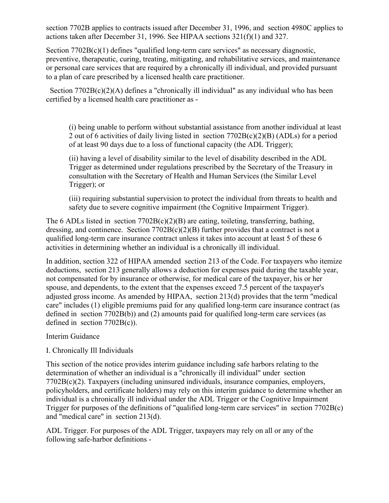section 7702B applies to contracts issued after December 31, 1996, and section 4980C applies to actions taken after December 31, 1996. See HIPAA sections 321(f)(1) and 327.

Section 7702B(c)(1) defines "qualified long-term care services" as necessary diagnostic, preventive, therapeutic, curing, treating, mitigating, and rehabilitative services, and maintenance or personal care services that are required by a chronically ill individual, and provided pursuant to a plan of care prescribed by a licensed health care practitioner.

Section  $7702B(c)(2)$ (A) defines a "chronically ill individual" as any individual who has been certified by a licensed health care practitioner as -

(i) being unable to perform without substantial assistance from another individual at least 2 out of 6 activities of daily living listed in section 7702B(c)(2)(B) (ADLs) for a period of at least 90 days due to a loss of functional capacity (the ADL Trigger);

(ii) having a level of disability similar to the level of disability described in the ADL Trigger as determined under regulations prescribed by the Secretary of the Treasury in consultation with the Secretary of Health and Human Services (the Similar Level Trigger); or

(iii) requiring substantial supervision to protect the individual from threats to health and safety due to severe cognitive impairment (the Cognitive Impairment Trigger).

The 6 ADLs listed in section 7702B(c)(2)(B) are eating, toileting, transferring, bathing, dressing, and continence. Section  $7702B(c)(2)(B)$  further provides that a contract is not a qualified long-term care insurance contract unless it takes into account at least 5 of these 6 activities in determining whether an individual is a chronically ill individual.

In addition, section 322 of HIPAA amended section 213 of the Code. For taxpayers who itemize deductions, section 213 generally allows a deduction for expenses paid during the taxable year, not compensated for by insurance or otherwise, for medical care of the taxpayer, his or her spouse, and dependents, to the extent that the expenses exceed 7.5 percent of the taxpayer's adjusted gross income. As amended by HIPAA, section 213(d) provides that the term "medical care" includes (1) eligible premiums paid for any qualified long-term care insurance contract (as defined in section 7702B(b)) and (2) amounts paid for qualified long-term care services (as defined in section 7702B(c)).

Interim Guidance

### I. Chronically Ill Individuals

This section of the notice provides interim guidance including safe harbors relating to the determination of whether an individual is a "chronically ill individual" under section 7702B(c)(2). Taxpayers (including uninsured individuals, insurance companies, employers, policyholders, and certificate holders) may rely on this interim guidance to determine whether an individual is a chronically ill individual under the ADL Trigger or the Cognitive Impairment Trigger for purposes of the definitions of "qualified long-term care services" in section 7702B(c) and "medical care" in section 213(d).

ADL Trigger. For purposes of the ADL Trigger, taxpayers may rely on all or any of the following safe-harbor definitions -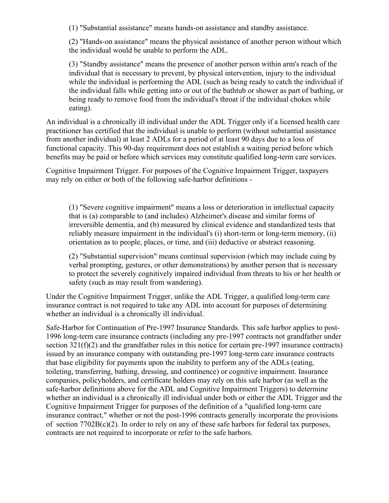(1) "Substantial assistance" means hands-on assistance and standby assistance.

(2) "Hands-on assistance" means the physical assistance of another person without which the individual would be unable to perform the ADL.

(3) "Standby assistance" means the presence of another person within arm's reach of the individual that is necessary to prevent, by physical intervention, injury to the individual while the individual is performing the ADL (such as being ready to catch the individual if the individual falls while getting into or out of the bathtub or shower as part of bathing, or being ready to remove food from the individual's throat if the individual chokes while eating).

An individual is a chronically ill individual under the ADL Trigger only if a licensed health care practitioner has certified that the individual is unable to perform (without substantial assistance from another individual) at least 2 ADLs for a period of at least 90 days due to a loss of functional capacity. This 90-day requirement does not establish a waiting period before which benefits may be paid or before which services may constitute qualified long-term care services.

Cognitive Impairment Trigger. For purposes of the Cognitive Impairment Trigger, taxpayers may rely on either or both of the following safe-harbor definitions -

(1) "Severe cognitive impairment" means a loss or deterioration in intellectual capacity that is (a) comparable to (and includes) Alzheimer's disease and similar forms of irreversible dementia, and (b) measured by clinical evidence and standardized tests that reliably measure impairment in the individual's (i) short-term or long-term memory, (ii) orientation as to people, places, or time, and (iii) deductive or abstract reasoning.

(2) "Substantial supervision" means continual supervision (which may include cuing by verbal prompting, gestures, or other demonstrations) by another person that is necessary to protect the severely cognitively impaired individual from threats to his or her health or safety (such as may result from wandering).

Under the Cognitive Impairment Trigger, unlike the ADL Trigger, a qualified long-term care insurance contract is not required to take any ADL into account for purposes of determining whether an individual is a chronically ill individual.

Safe-Harbor for Continuation of Pre-1997 Insurance Standards. This safe harbor applies to post-1996 long-term care insurance contracts (including any pre-1997 contracts not grandfather under section 321(f)(2) and the grandfather rules in this notice for certain pre-1997 insurance contracts) issued by an insurance company with outstanding pre-1997 long-term care insurance contracts that base eligibility for payments upon the inability to perform any of the ADLs (eating, toileting, transferring, bathing, dressing, and continence) or cognitive impairment. Insurance companies, policyholders, and certificate holders may rely on this safe harbor (as well as the safe-harbor definitions above for the ADL and Cognitive Impairment Triggers) to determine whether an individual is a chronically ill individual under both or either the ADL Trigger and the Cognitive Impairment Trigger for purposes of the definition of a "qualified long-term care insurance contract," whether or not the post-1996 contracts generally incorporate the provisions of section 7702B(c)(2). In order to rely on any of these safe harbors for federal tax purposes, contracts are not required to incorporate or refer to the safe harbors.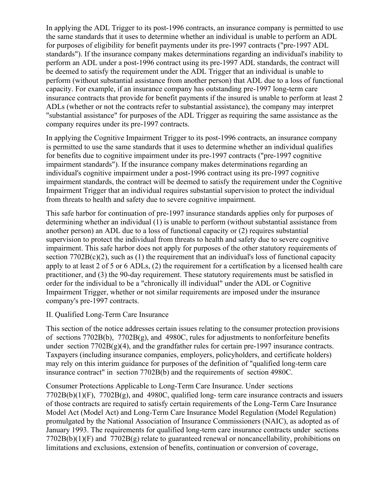In applying the ADL Trigger to its post-1996 contracts, an insurance company is permitted to use the same standards that it uses to determine whether an individual is unable to perform an ADL for purposes of eligibility for benefit payments under its pre-1997 contracts ("pre-1997 ADL standards"). If the insurance company makes determinations regarding an individual's inability to perform an ADL under a post-1996 contract using its pre-1997 ADL standards, the contract will be deemed to satisfy the requirement under the ADL Trigger that an individual is unable to perform (without substantial assistance from another person) that ADL due to a loss of functional capacity. For example, if an insurance company has outstanding pre-1997 long-term care insurance contracts that provide for benefit payments if the insured is unable to perform at least 2 ADLs (whether or not the contracts refer to substantial assistance), the company may interpret "substantial assistance" for purposes of the ADL Trigger as requiring the same assistance as the company requires under its pre-1997 contracts.

In applying the Cognitive Impairment Trigger to its post-1996 contracts, an insurance company is permitted to use the same standards that it uses to determine whether an individual qualifies for benefits due to cognitive impairment under its pre-1997 contracts ("pre-1997 cognitive impairment standards"). If the insurance company makes determinations regarding an individual's cognitive impairment under a post-1996 contract using its pre-1997 cognitive impairment standards, the contract will be deemed to satisfy the requirement under the Cognitive Impairment Trigger that an individual requires substantial supervision to protect the individual from threats to health and safety due to severe cognitive impairment.

This safe harbor for continuation of pre-1997 insurance standards applies only for purposes of determining whether an individual (1) is unable to perform (without substantial assistance from another person) an ADL due to a loss of functional capacity or (2) requires substantial supervision to protect the individual from threats to health and safety due to severe cognitive impairment. This safe harbor does not apply for purposes of the other statutory requirements of section  $7702B(c)(2)$ , such as (1) the requirement that an individual's loss of functional capacity apply to at least 2 of 5 or 6 ADLs, (2) the requirement for a certification by a licensed health care practitioner, and (3) the 90-day requirement. These statutory requirements must be satisfied in order for the individual to be a "chronically ill individual" under the ADL or Cognitive Impairment Trigger, whether or not similar requirements are imposed under the insurance company's pre-1997 contracts.

## II. Qualified Long-Term Care Insurance

This section of the notice addresses certain issues relating to the consumer protection provisions of sections 7702B(b), 7702B(g), and 4980C, rules for adjustments to nonforfeiture benefits under section  $7702B(g)(4)$ , and the grandfather rules for certain pre-1997 insurance contracts. Taxpayers (including insurance companies, employers, policyholders, and certificate holders) may rely on this interim guidance for purposes of the definition of "qualified long-term care insurance contract" in section 7702B(b) and the requirements of section 4980C.

Consumer Protections Applicable to Long-Term Care Insurance. Under sections 7702B(b)(1)(F), 7702B(g), and 4980C, qualified long- term care insurance contracts and issuers of those contracts are required to satisfy certain requirements of the Long-Term Care Insurance Model Act (Model Act) and Long-Term Care Insurance Model Regulation (Model Regulation) promulgated by the National Association of Insurance Commissioners (NAIC), as adopted as of January 1993. The requirements for qualified long-term care insurance contracts under sections  $7702B(b)(1)(F)$  and  $7702B(g)$  relate to guaranteed renewal or noncancellability, prohibitions on limitations and exclusions, extension of benefits, continuation or conversion of coverage,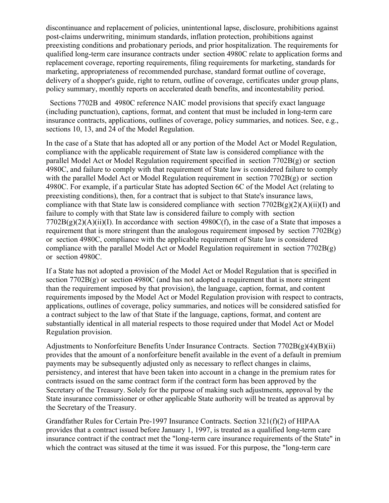discontinuance and replacement of policies, unintentional lapse, disclosure, prohibitions against post-claims underwriting, minimum standards, inflation protection, prohibitions against preexisting conditions and probationary periods, and prior hospitalization. The requirements for qualified long-term care insurance contracts under section 4980C relate to application forms and replacement coverage, reporting requirements, filing requirements for marketing, standards for marketing, appropriateness of recommended purchase, standard format outline of coverage, delivery of a shopper's guide, right to return, outline of coverage, certificates under group plans, policy summary, monthly reports on accelerated death benefits, and incontestability period.

 Sections 7702B and 4980C reference NAIC model provisions that specify exact language (including punctuation), captions, format, and content that must be included in long-term care insurance contracts, applications, outlines of coverage, policy summaries, and notices. See, e.g., sections 10, 13, and 24 of the Model Regulation.

In the case of a State that has adopted all or any portion of the Model Act or Model Regulation, compliance with the applicable requirement of State law is considered compliance with the parallel Model Act or Model Regulation requirement specified in section 7702B(g) or section 4980C, and failure to comply with that requirement of State law is considered failure to comply with the parallel Model Act or Model Regulation requirement in section 7702B(g) or section 4980C. For example, if a particular State has adopted Section 6C of the Model Act (relating to preexisting conditions), then, for a contract that is subject to that State's insurance laws, compliance with that State law is considered compliance with section  $7702B(g)(2)(A)(ii)(I)$  and failure to comply with that State law is considered failure to comply with section  $7702B(g)(2)(A)(ii)(I)$ . In accordance with section 4980C(f), in the case of a State that imposes a requirement that is more stringent than the analogous requirement imposed by section  $7702B(g)$ or section 4980C, compliance with the applicable requirement of State law is considered compliance with the parallel Model Act or Model Regulation requirement in section 7702B(g) or section 4980C.

If a State has not adopted a provision of the Model Act or Model Regulation that is specified in section 7702B(g) or section 4980C (and has not adopted a requirement that is more stringent than the requirement imposed by that provision), the language, caption, format, and content requirements imposed by the Model Act or Model Regulation provision with respect to contracts, applications, outlines of coverage, policy summaries, and notices will be considered satisfied for a contract subject to the law of that State if the language, captions, format, and content are substantially identical in all material respects to those required under that Model Act or Model Regulation provision.

Adjustments to Nonforfeiture Benefits Under Insurance Contracts. Section 7702B(g)(4)(B)(ii) provides that the amount of a nonforfeiture benefit available in the event of a default in premium payments may be subsequently adjusted only as necessary to reflect changes in claims, persistency, and interest that have been taken into account in a change in the premium rates for contracts issued on the same contract form if the contract form has been approved by the Secretary of the Treasury. Solely for the purpose of making such adjustments, approval by the State insurance commissioner or other applicable State authority will be treated as approval by the Secretary of the Treasury.

Grandfather Rules for Certain Pre-1997 Insurance Contracts. Section 321(f)(2) of HIPAA provides that a contract issued before January 1, 1997, is treated as a qualified long-term care insurance contract if the contract met the "long-term care insurance requirements of the State" in which the contract was sitused at the time it was issued. For this purpose, the "long-term care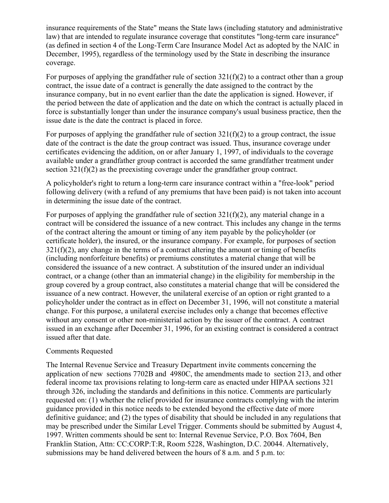insurance requirements of the State" means the State laws (including statutory and administrative law) that are intended to regulate insurance coverage that constitutes "long-term care insurance" (as defined in section 4 of the Long-Term Care Insurance Model Act as adopted by the NAIC in December, 1995), regardless of the terminology used by the State in describing the insurance coverage.

For purposes of applying the grandfather rule of section  $321(f)(2)$  to a contract other than a group contract, the issue date of a contract is generally the date assigned to the contract by the insurance company, but in no event earlier than the date the application is signed. However, if the period between the date of application and the date on which the contract is actually placed in force is substantially longer than under the insurance company's usual business practice, then the issue date is the date the contract is placed in force.

For purposes of applying the grandfather rule of section  $321(f)(2)$  to a group contract, the issue date of the contract is the date the group contract was issued. Thus, insurance coverage under certificates evidencing the addition, on or after January 1, 1997, of individuals to the coverage available under a grandfather group contract is accorded the same grandfather treatment under section 321(f)(2) as the preexisting coverage under the grandfather group contract.

A policyholder's right to return a long-term care insurance contract within a "free-look" period following delivery (with a refund of any premiums that have been paid) is not taken into account in determining the issue date of the contract.

For purposes of applying the grandfather rule of section  $321(f)(2)$ , any material change in a contract will be considered the issuance of a new contract. This includes any change in the terms of the contract altering the amount or timing of any item payable by the policyholder (or certificate holder), the insured, or the insurance company. For example, for purposes of section  $321(f)(2)$ , any change in the terms of a contract altering the amount or timing of benefits (including nonforfeiture benefits) or premiums constitutes a material change that will be considered the issuance of a new contract. A substitution of the insured under an individual contract, or a change (other than an immaterial change) in the eligibility for membership in the group covered by a group contract, also constitutes a material change that will be considered the issuance of a new contract. However, the unilateral exercise of an option or right granted to a policyholder under the contract as in effect on December 31, 1996, will not constitute a material change. For this purpose, a unilateral exercise includes only a change that becomes effective without any consent or other non-ministerial action by the issuer of the contract. A contract issued in an exchange after December 31, 1996, for an existing contract is considered a contract issued after that date.

#### Comments Requested

The Internal Revenue Service and Treasury Department invite comments concerning the application of new sections 7702B and 4980C, the amendments made to section 213, and other federal income tax provisions relating to long-term care as enacted under HIPAA sections 321 through 326, including the standards and definitions in this notice. Comments are particularly requested on: (1) whether the relief provided for insurance contracts complying with the interim guidance provided in this notice needs to be extended beyond the effective date of more definitive guidance; and (2) the types of disability that should be included in any regulations that may be prescribed under the Similar Level Trigger. Comments should be submitted by August 4, 1997. Written comments should be sent to: Internal Revenue Service, P.O. Box 7604, Ben Franklin Station, Attn: CC:CORP:T:R, Room 5228, Washington, D.C. 20044. Alternatively, submissions may be hand delivered between the hours of 8 a.m. and 5 p.m. to: